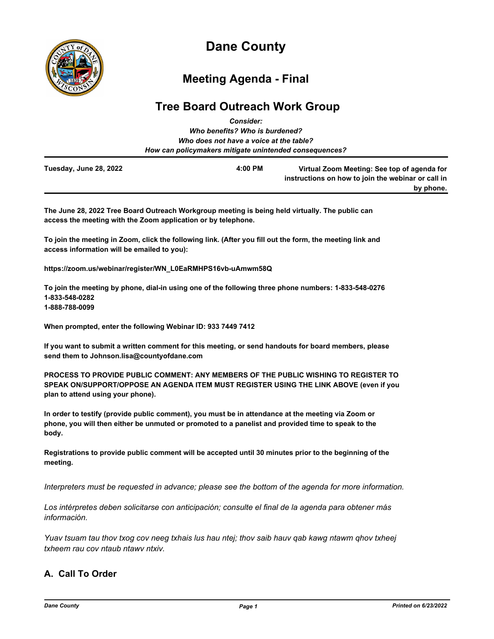

# **Dane County**

## **Meeting Agenda - Final**

## **Tree Board Outreach Work Group** *Consider:*

|                        | ---------                                              |                                                                                                   |
|------------------------|--------------------------------------------------------|---------------------------------------------------------------------------------------------------|
|                        | Who benefits? Who is burdened?                         |                                                                                                   |
|                        | Who does not have a voice at the table?                |                                                                                                   |
|                        | How can policymakers mitigate unintended consequences? |                                                                                                   |
| Tuesday, June 28, 2022 | 4:00 PM                                                | Virtual Zoom Meeting: See top of agenda for<br>instructions on how to join the webinar or call in |
|                        |                                                        | by phone.                                                                                         |

**The June 28, 2022 Tree Board Outreach Workgroup meeting is being held virtually. The public can access the meeting with the Zoom application or by telephone.**

**To join the meeting in Zoom, click the following link. (After you fill out the form, the meeting link and access information will be emailed to you):**

**https://zoom.us/webinar/register/WN\_L0EaRMHPS16vb-uAmwm58Q**

**To join the meeting by phone, dial-in using one of the following three phone numbers: 1-833-548-0276 1-833-548-0282 1-888-788-0099**

**When prompted, enter the following Webinar ID: 933 7449 7412**

**If you want to submit a written comment for this meeting, or send handouts for board members, please send them to Johnson.lisa@countyofdane.com**

**PROCESS TO PROVIDE PUBLIC COMMENT: ANY MEMBERS OF THE PUBLIC WISHING TO REGISTER TO SPEAK ON/SUPPORT/OPPOSE AN AGENDA ITEM MUST REGISTER USING THE LINK ABOVE (even if you plan to attend using your phone).**

**In order to testify (provide public comment), you must be in attendance at the meeting via Zoom or phone, you will then either be unmuted or promoted to a panelist and provided time to speak to the body.**

**Registrations to provide public comment will be accepted until 30 minutes prior to the beginning of the meeting.**

*Interpreters must be requested in advance; please see the bottom of the agenda for more information.*

*Los intérpretes deben solicitarse con anticipación; consulte el final de la agenda para obtener más información.*

*Yuav tsuam tau thov txog cov neeg txhais lus hau ntej; thov saib hauv qab kawg ntawm qhov txheej txheem rau cov ntaub ntawv ntxiv.*

## **A. Call To Order**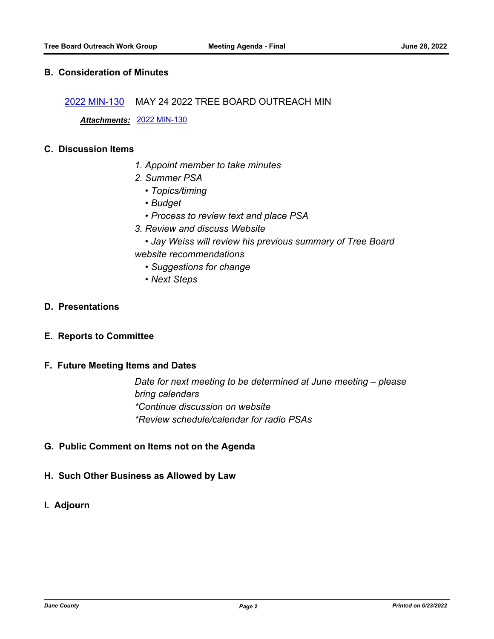## **B. Consideration of Minutes**

[2022 MIN-130](http://dane.legistar.com/gateway.aspx?m=l&id=/matter.aspx?key=23139) MAY 24 2022 TREE BOARD OUTREACH MIN

*Attachments:* [2022 MIN-130](http://dane.legistar.com/gateway.aspx?M=F&ID=5887c8e6-d578-4ab0-ba03-6dd89b0adbac.pdf)

#### **C. Discussion Items**

- *1. Appoint member to take minutes*
- *2. Summer PSA* 
	- *Topics/timing*
	- *Budget*
	- *Process to review text and place PSA*
- *3. Review and discuss Website*
- *Jay Weiss will review his previous summary of Tree Board website recommendations*
	- *Suggestions for change*
	- *Next Steps*

### **D. Presentations**

**E. Reports to Committee**

#### **F. Future Meeting Items and Dates**

*Date for next meeting to be determined at June meeting – please bring calendars \*Continue discussion on website \*Review schedule/calendar for radio PSAs*

**G. Public Comment on Items not on the Agenda**

#### **H. Such Other Business as Allowed by Law**

**I. Adjourn**